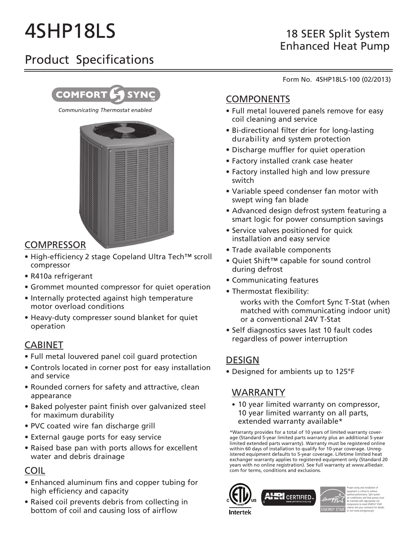# 4SHP18LS

# Product Specifications

# **COMFORT**

*Communicating Thermostat enabled*



#### **COMPRESSOR**

- • High-efficiency 2 stage Copeland Ultra Tech™ scroll compressor
- • R410a refrigerant
- • Grommet mounted compressor for quiet operation
- Internally protected against high temperature motor overload conditions
- Heavy-duty compresser sound blanket for quiet operation

#### CABINET

- Full metal louvered panel coil quard protection
- • Controls located in corner post for easy installation and service
- Rounded corners for safety and attractive, clean appearance
- Baked polyester paint finish over galvanized steel for maximum durability
- PVC coated wire fan discharge grill
- External gauge ports for easy service
- Raised base pan with ports allows for excellent water and debris drainage

#### COIL

- Enhanced aluminum fins and copper tubing for high efficiency and capacity
- Raised coil prevents debris from collecting in bottom of coil and causing loss of airflow

## 18 SEER Split System Enhanced Heat Pump

Form No. 4SHP18LS-100 (02/2013)

#### **COMPONENTS**

- Full metal louvered panels remove for easy coil cleaning and service
- • Bi-directional filter drier for long-lasting durability and system protection
- Discharge muffler for quiet operation
- Factory installed crank case heater
- Factory installed high and low pressure switch
- • Variable speed condenser fan motor with swept wing fan blade
- Advanced design defrost system featuring a smart logic for power consumption savings
- Service valves positioned for quick installation and easy service
- Trade available components
- • Quiet Shift™ capable for sound control during defrost
- Communicating features
- Thermostat flexibility:

 works with the Comfort Sync T-Stat (when matched with communicating indoor unit) or a conventional 24V T-Stat

• Self diagnostics saves last 10 fault codes regardless of power interruption

#### DESIGN

• Designed for ambients up to 125°F

#### WARRANTY

• 10 year limited warranty on compressor, 10 year limited warranty on all parts, extended warranty available\*

\*Warranty provides for a total of 10 years of limited warranty coverage (Standard 5-year limited parts warranty plus an additional 5-year limited extended parts warranty). Warranty must be registered online within 60 days of installation to qualify for 10-year coverage. Unregistered equipment defaults to 5-year coverage. Lifetime limited heat exchanger warranty applies to registered equipment only (Standard 20 years with no online registration). See full warranty at www.alliedair. com for terms, conditions and exclusions.



Proper sizing and installation of equipment is critical to achieve omance. Spitter air conditioners and heat pumps must be matched with appropriate coil components to meet ENERGY STAR criteria. Ask your contractor for details or visit www.energystar.gov

**Intertek**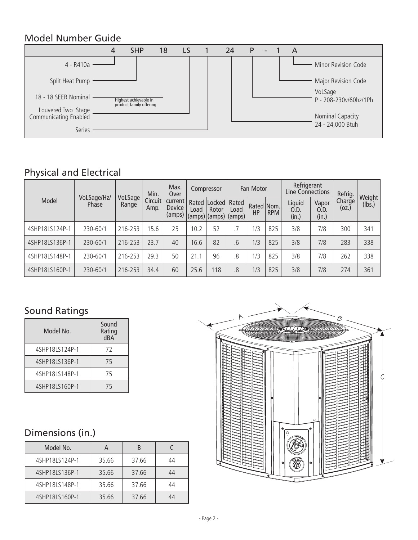#### Model Number Guide



#### Physical and Electrical

|                |                      |                  | Min.            | Max.<br>Over                |      | Compressor               |                                                   | <b>Fan Motor</b>               |     | Refrigerant<br>Line Connections |                        | Refrig.         |                  |  |
|----------------|----------------------|------------------|-----------------|-----------------------------|------|--------------------------|---------------------------------------------------|--------------------------------|-----|---------------------------------|------------------------|-----------------|------------------|--|
| Model          | VoLSage/Hz/<br>Phase | VoLSage<br>Range | Circuit<br>Amp. | current<br>Device<br>(amps) | Load | Rated   Locked <br>Rotor | Rated<br>Load<br>$ \text{(amps)}  \text{(amps)} $ | Rated Nom.<br>HP<br><b>RPM</b> |     | Liquid<br>O.D.<br>(in.)         | Vapor<br>0.D.<br>(in.) | Charge<br>(oz.) | Weight<br>(lbs.) |  |
| 4SHP18LS124P-1 | 230-60/1             | 216-253          | 15.6            | 25                          | 10.2 | 52                       |                                                   | 1/3                            | 825 | 3/8                             | 7/8                    | 300             | 341              |  |
| 4SHP18LS136P-1 | 230-60/1             | 216-253          | 23.7            | 40                          | 16.6 | 82                       | .6                                                | 1/3                            | 825 | 3/8                             | 7/8                    | 283             | 338              |  |
| 4SHP18LS148P-1 | 230-60/1             | 216-253          | 29.3            | 50                          | 21.1 | 96                       | .8                                                | 1/3                            | 825 | 3/8                             | 7/8                    | 262             | 338              |  |
| 4SHP18LS160P-1 | 230-60/1             | 216-253          | 34.4            | 60                          | 25.6 | 118                      | .8                                                | 1/3                            | 825 | 3/8                             | 7/8                    | 274             | 361              |  |

## Sound Ratings

| Model No.      | Sound<br>Rating<br>dBA |
|----------------|------------------------|
| 4SHP18LS124P-1 | 72                     |
| 4SHP18LS136P-1 | 75                     |
| 4SHP18LS148P-1 | 75                     |
| 4SHP18LS160P-1 | 75                     |

### Dimensions (in.)

| Model No.      |       |       |    |
|----------------|-------|-------|----|
| 4SHP18LS124P-1 | 35.66 | 37.66 | 44 |
| 4SHP18LS136P-1 | 35.66 | 37.66 | 44 |
| 4SHP18LS148P-1 | 35.66 | 37.66 | 44 |
| 4SHP18LS160P-1 | 35.66 | 37.66 | 44 |

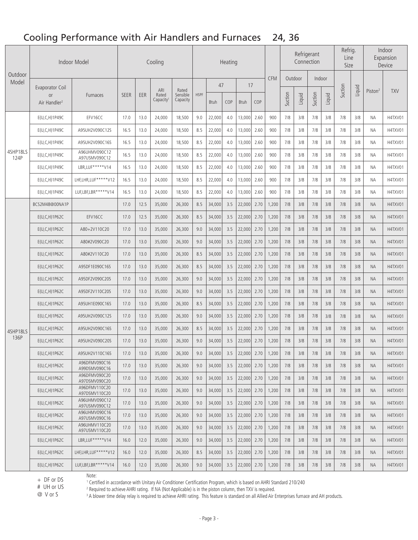## Cooling Performance with Air Handlers and Furnaces 24, 36

|                  | Indoor Model                   | Cooling                        |             |      |                                       |                               | Heating     |             |     |             | Refrigerant<br>Connection |            |                   | Refrig.<br>Line<br>Size |         | Indoor<br>Expansion<br>Device |         |        |                     |            |
|------------------|--------------------------------|--------------------------------|-------------|------|---------------------------------------|-------------------------------|-------------|-------------|-----|-------------|---------------------------|------------|-------------------|-------------------------|---------|-------------------------------|---------|--------|---------------------|------------|
| Outdoor<br>Model | Evaporator Coil                |                                |             |      |                                       |                               |             | 47          |     | 17          |                           | <b>CFM</b> | Outdoor           |                         | Indoor  |                               |         |        |                     |            |
|                  | or<br>Air Handler <sup>2</sup> | <b>Furnaces</b>                | <b>SEER</b> | EER  | ARI<br>Rated<br>Capacity <sup>1</sup> | Rated<br>Sensible<br>Capacity | <b>HSPF</b> | <b>Btuh</b> | COP | <b>Btuh</b> | COP                       |            | Suction<br>Liquid |                         | Suction | Liquid                        | Suction | Liquid | Piston <sup>2</sup> | <b>TXV</b> |
|                  | $E(U, C, H)$ 1P49C             | EFV16CC                        | 17.0        | 13.0 | 24,000                                | 18,500                        | 9.0         | 22,000      | 4.0 | 13,000      | 2.60                      | 900        | 7/8               | 3/8                     | 7/8     | 3/8                           | 7/8     | 3/8    | ΝA                  | H4TXV01    |
|                  | E(U,C,H)1P49C                  | A95UH2V090C12S                 | 16.5        | 13.0 | 24,000                                | 18,500                        | 8.5         | 22,000      | 4.0 | 13,000      | 2.60                      | 900        | 7/8               | 3/8                     | 7/8     | 3/8                           | 7/8     | 3/8    | ΝA                  | H4TXV01    |
|                  | E(U,C,H)1P49C                  | A95UH2V090C16S                 | 16.5        | 13.0 | 24,000                                | 18,500                        | 8.5         | 22,000      | 4.0 | 13,000      | 2.60                      | 900        | 7/8               | 3/8                     | 7/8     | 3/8                           | 7/8     | 3/8    | ΝA                  | H4TXV01    |
| 4SHP18LS<br>124P | E(U,C,H)1P49C                  | A96UHMV090C12<br>A97USMV090C12 | 16.5        | 13.0 | 24,000                                | 18,500                        | 8.5         | 22,000      | 4.0 | 13,000      | 2.60                      | 900        | 7/8               | 3/8                     | 7/8     | 3/8                           | 7/8     | 3/8    | ΝA                  | H4TXV01    |
|                  | E(U,C,H)1P49C                  | LBR,LUF*****V14                | 16.5        | 13.0 | 24,000                                | 18,500                        | 8.5         | 22,000      | 4.0 | 13,000      | 2.60                      | 900        | 7/8               | 3/8                     | 7/8     | 3/8                           | 7/8     | 3/8    | <b>NA</b>           | H4TXV01    |
|                  | E(U,C,H)1P49C                  | LHF,LHR,LUF*****V12            | 16.5        | 13.0 | 24,000                                | 18,500                        | 8.5         | 22,000      | 4.0 | 13,000      | 2.60                      | 900        | 7/8               | 3/8                     | 7/8     | 3/8                           | 7/8     | 3/8    | ΝA                  | H4TXV01    |
|                  | E(U,C,H)1P49C                  | LUF,LBF,LBR*****V14            | 16.5        | 13.0 | 24,000                                | 18,500                        | 8.5         | 22,000      | 4.0 | 13,000      | 2.60                      | 900        | 7/8               | 3/8                     | 7/8     | 3/8                           | 7/8     | 3/8    | <b>NA</b>           | H4TXV01    |
|                  | BCS2M48@00NA1P                 |                                | 17.0        | 12.5 | 35,000                                | 26,300                        | 8.5         | 34,000      | 3.5 | 22,000      | 2.70                      | 1,200      | 7/8               | 3/8                     | 7/8     | 3/8                           | 7/8     | 3/8    | ΝA                  | H4TXV01    |
|                  | E(U, C, H) 1P62C               | EFV16CC                        | 17.0        | 12.5 | 35,000                                | 26,300                        | 8.5         | 34,000      | 3.5 | 22,000      | 2.70                      | 1,200      | 7/8               | 3/8                     | 7/8     | 3/8                           | 7/8     | 3/8    | ΝA                  | H4TXV01    |
|                  | E(U, C, H) 1P62C               | A80+2V110C20                   | 17.0        | 13.0 | 35,000                                | 26,300                        | 9.0         | 34,000      | 3.5 | 22,000      | 2.70                      | 1,200      | 7/8               | 3/8                     | 7/8     | 3/8                           | 7/8     | 3/8    | ΝA                  | H4TXV01    |
|                  | E(U, C, H) 1P62C               | A80#2V090C20                   | 17.0        | 13.0 | 35,000                                | 26,300                        | 9.0         | 34,000      | 3.5 | 22,000      | 2.70                      | 1,200      | 7/8               | 3/8                     | 7/8     | 3/8                           | 7/8     | 3/8    | ΝA                  | H4TXV01    |
|                  | E(U, C, H) 1P62C               | A80#2V110C20                   | 17.0        | 13.0 | 35,000                                | 26,300                        | 8.5         | 34,000      | 3.5 | 22,000      | 2.70                      | 1,200      | 7/8               | 3/8                     | 7/8     | 3/8                           | 7/8     | 3/8    | ΝA                  | H4TXV01    |
|                  | E(U, C, H) 1P62C               | A95DF1E090C16S                 | 17.0        | 13.0 | 35,000                                | 26,300                        | 8.5         | 34,000      | 3.5 | 22,000      | 2.70                      | 1,200      | 7/8               | 3/8                     | 7/8     | 3/8                           | 7/8     | 3/8    | <b>NA</b>           | H4TXV01    |
|                  | E(U, C, H) 1P62C               | A95DF2V090C20S                 | 17.0        | 13.0 | 35,000                                | 26,300                        | 9.0         | 34,000      | 3.5 | 22,000      | 2.70                      | 1,200      | 7/8               | 3/8                     | 7/8     | 3/8                           | 7/8     | 3/8    | ΝA                  | H4TXV01    |
|                  | E(U, C, H) 1P62C               | A95DF2V110C20S                 | 17.0        | 13.0 | 35,000                                | 26,300                        | 9.0         | 34,000      | 3.5 | 22,000      | 2.70                      | 1,200      | 7/8               | 3/8                     | 7/8     | 3/8                           | 7/8     | 3/8    | ΝA                  | H4TXV01    |
|                  | E(U, C, H) 1P62C               | A95UH1E090C16S                 | 17.0        | 13.0 | 35,000                                | 26,300                        | 8.5         | 34,000      | 3.5 | 22,000      | 2.70                      | 1,200      | 7/8               | 3/8                     | 7/8     | 3/8                           | 7/8     | 3/8    | ΝA                  | H4TXV01    |
|                  | E(U, C, H) 1P62C               | A95UH2V090C12S                 | 17.0        | 13.0 | 35,000                                | 26,300                        | 9.0         | 34,000      | 3.5 | 22,000      | 2.70                      | 1,200      | 7/8               | 3/8                     | 7/8     | 3/8                           | 7/8     | 3/8    | ΝA                  | H4TXV01    |
| 4SHP18LS         | E(U, C, H) 1P62C               | A95UH2V090C16S                 | 17.0        | 13.0 | 35,000                                | 26,300                        | 8.5         | 34,000      | 3.5 | 22,000      | 2.70                      | 1,200      | 7/8               | 3/8                     | 7/8     | 3/8                           | 7/8     | 3/8    | ΝA                  | H4TXV01    |
| 136P             | E(U, C, H) 1P62C               | A95UH2V090C20S                 | 17.0        | 13.0 | 35,000                                | 26,300                        | 9.0         | 34,000      | 3.5 | 22,000      | 2.70                      | 1,200      | 7/8               | 3/8                     | 7/8     | 3/8                           | 7/8     | 3/8    | <b>NA</b>           | H4TXV01    |
|                  | E(U,C,H)1P62C                  | A95UH2V110C16S                 | 17.0        | 13.0 | 35,000                                | 26,300                        | 9.0         | 34,000      | 3.5 | 22,000      | 2.70                      | 1,200      | 7/8               | 3/8                     | 7/8     | 3/8                           | 7/8     | 3/8    | <b>NA</b>           | H4TXV01    |
|                  | E(U, C, H) 1P62C               | A96DFMV090C16<br>A99DSMV090C16 | 17.0        | 13.0 | 35,000                                | 26,300                        | 9.0         | 34,000      | 3.5 | 22,000      | 2.70                      | 1,200      | 7/8               | 3/8                     | 7/8     | 3/8                           | 7/8     | 3/8    | NA.                 | H4TXV01    |
|                  | E(U, C, H) 1P62C               | A96DFMV090C20<br>A97DSMV090C20 | 17.0        | 13.0 | 35,000                                | 26,300                        | 9.0         | 34,000      | 3.5 | 22,000      | 2.70                      | 1,200      | 7/8               | 3/8                     | 7/8     | 3/8                           | 7/8     | 3/8    | ΝA                  | H4TXV01    |
|                  | E(U, C, H) 1P62C               | A96DFMV110C20<br>A97DSMV110C20 | 17.0        | 13.0 | 35,000                                | 26,300                        | 9.0         | 34,000      | 3.5 | 22,000      | 2.70                      | 1,200      | 7/8               | 3/8                     | 7/8     | 3/8                           | 7/8     | 3/8    | ΝA                  | H4TXV01    |
|                  | E(U, C, H) 1P62C               | A96UHMV090C12<br>A97USMV090C12 | 17.0        | 13.0 | 35,000                                | 26,300                        | 9.0         | 34,000      | 3.5 | 22,000      | 2.70                      | 1,200      | 7/8               | 3/8                     | 7/8     | 3/8                           | 7/8     | 3/8    | ΝA                  | H4TXV01    |
|                  | E(U, C, H) 1P62C               | A96UHMV090C16<br>A97USMV090C16 | 17.0        | 13.0 | 35,000                                | 26,300                        | 9.0         | 34,000      | 3.5 | 22,000      | 2.70                      | 1,200      | 7/8               | 3/8                     | 7/8     | 3/8                           | 7/8     | 3/8    | ΝA                  | H4TXV01    |
|                  | E(U, C, H) 1P62C               | A96UHMV110C20<br>A97USMV110C20 | 17.0        | 13.0 | 35,000                                | 26,300                        | 9.0         | 34,000      | 3.5 | 22,000      | 2.70                      | 1,200      | 7/8               | 3/8                     | 7/8     | 3/8                           | 7/8     | 3/8    | <b>NA</b>           | H4TXV01    |
|                  | E(U, C, H) 1P62C               | LBR.LUF*****V14                | 16.0        | 12.0 | 35,000                                | 26,300                        | 9.0         | 34,000      | 3.5 | 22,000      | 2.70                      | 1,200      | 7/8               | 3/8                     | 7/8     | 3/8                           | 7/8     | 3/8    | <b>NA</b>           | H4TXV01    |
|                  | E(U, C, H) 1P62C               | LHF,LHR,LUF*****V12            | 16.0        | 12.0 | 35,000                                | 26,300                        | 8.5         | 34,000      | 3.5 | 22,000      | 2.70                      | 1,200      | 7/8               | 3/8                     | 7/8     | 3/8                           | 7/8     | 3/8    | <b>NA</b>           | H4TXV01    |
|                  | E(U, C, H) 1P62C               | LUF,LBF,LBR*****V14            | 16.0        | 12.0 | 35,000                                | 26,300                        | 9.0         | 34,000      | 3.5 | 22,000      | 2.70                      | 1,200      | 7/8               | 3/8                     | 7/8     | 3/8                           | 7/8     | 3/8    | <b>NA</b>           | H4TXV01    |
|                  | $DE_{\alpha r}DC$              | Note:                          |             |      |                                       |                               |             |             |     |             |                           |            |                   |                         |         |                               |         |        |                     |            |

<sup>+</sup> DF or DS

# UH or US @ V or S

100...<br>1 Certified in accordance with Unitary Air Conditioner Certification Program, which is based on AHRI Standard 210/240<br>2 Beguired to achieve AHRI rating . If NA (Not Applicable) is in the piston column, then TXV is r

<sup>2</sup> Required to achieve AHRI rating. If NA (Not Applicable) is in the piston column, then TXV is required.

<sup>3</sup> A blower time delay relay is required to achieve AHRI rating. This feature is standard on all Allied Air Enterprises furnace and AH products.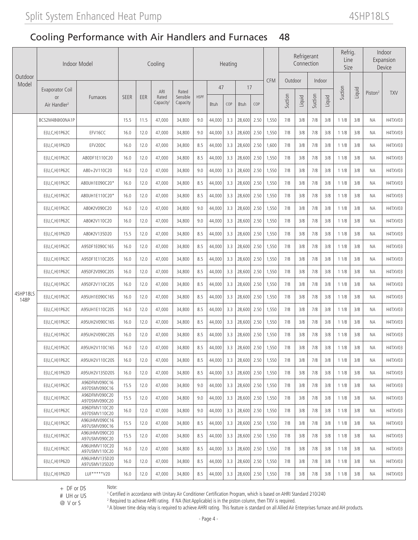# Cooling Performance with Air Handlers and Furnaces 48

| Indoor Model     |                                                   |                                |             |      | Cooling                               |                               |             | Heating     |     |             | Refrigerant<br>Connection |            |         |        | Refrig.<br>Line<br>Size |        | Indoor<br>Expansion<br>Device |        |                     |            |
|------------------|---------------------------------------------------|--------------------------------|-------------|------|---------------------------------------|-------------------------------|-------------|-------------|-----|-------------|---------------------------|------------|---------|--------|-------------------------|--------|-------------------------------|--------|---------------------|------------|
| Outdoor<br>Model |                                                   |                                |             |      |                                       |                               |             | 47          |     | 17          |                           | <b>CFM</b> | Outdoor |        | Indoor                  |        |                               |        |                     |            |
|                  | Evaporator Coil<br>or<br>Air Handler <sup>2</sup> | Furnaces                       | <b>SEER</b> | EER  | ARI<br>Rated<br>Capacity <sup>1</sup> | Rated<br>Sensible<br>Capacity | <b>HSPF</b> | <b>Btuh</b> | COP | <b>Btuh</b> | COP                       |            | Suction | Liquid | Suction                 | Liquid | Suction                       | Liquid | Piston <sup>2</sup> | <b>TXV</b> |
|                  | BCS2M48@00NA1P                                    |                                | 15.5        | 11.5 | 47,000                                | 34,800                        | 9.0         | 44,000      | 3.3 | 28,600      | 2.50                      | 1,550      | 7/8     | 3/8    | 7/8                     | 3/8    | 11/8                          | 3/8    | <b>ΝΑ</b>           | H4TXV03    |
|                  | E(U, C, H) 1P62C                                  | EFV16CC                        | 16.0        | 12.0 | 47,000                                | 34,800                        | 9.0         | 44,000      | 3.3 | 28,600      | 2.50                      | 1,550      | 7/8     | 3/8    | 7/8                     | 3/8    | 11/8                          | 3/8    | ΝA                  | H4TXV03    |
|                  | E(U,C,H)1P62D                                     | EFV20DC                        | 16.0        | 12.0 | 47,000                                | 34,800                        | 8.5         | 44,000      | 3.3 | 28,600      | 2.50                      | 1,600      | 7/8     | 3/8    | 7/8                     | 3/8    | 11/8                          | 3/8    | ΝA                  | H4TXV03    |
|                  | E(U, C, H) 1P62C                                  | A80DF1E110C20                  | 16.0        | 12.0 | 47,000                                | 34,800                        | 8.5         | 44,000      | 3.3 | 28,600      | 2.50                      | 1,550      | 7/8     | 3/8    | 7/8                     | 3/8    | 11/8                          | 3/8    | ΝA                  | H4TXV03    |
|                  | E(U, C, H) 1P62C                                  | A80+2V110C20                   | 16.0        | 12.0 | 47,000                                | 34,800                        | 9.0         | 44,000      | 3.3 | 28,600      | 2.50                      | 1,550      | 7/8     | 3/8    | 7/8                     | 3/8    | 11/8                          | 3/8    | ΝA                  | H4TXV03    |
|                  | E(U, C, H) 1P62C                                  | A80UH1E090C20*                 | 16.0        | 12.0 | 47,000                                | 34,800                        | 8.5         | 44,000      | 3.3 | 28,600      | 2.50                      | 1,550      | 7/8     | 3/8    | 7/8                     | 3/8    | 11/8                          | 3/8    | ΝA                  | H4TXV03    |
|                  | E(U,C,H)1P62C                                     | A80UH1E110C20*                 | 16.0        | 12.0 | 47,000                                | 34,800                        | 8.5         | 44,000      | 3.3 | 28,600      | 2.50                      | 1,550      | 7/8     | 3/8    | 7/8                     | 3/8    | 11/8                          | 3/8    | ΝA                  | H4TXV03    |
|                  | E(U, C, H) 1P62C                                  | A80#2V090C20                   | 16.0        | 12.0 | 47,000                                | 34,800                        | 9.0         | 44,000      | 3.3 | 28,600      | 2.50                      | 1,550      | 7/8     | 3/8    | 7/8                     | 3/8    | 11/8                          | 3/8    | ΝA                  | H4TXV03    |
|                  | E(U, C, H) 1P62C                                  | A80#2V110C20                   | 16.0        | 12.0 | 47,000                                | 34,800                        | 9.0         | 44,000      | 3.3 | 28,600      | 2.50                      | 1,550      | 7/8     | 3/8    | 7/8                     | 3/8    | 11/8                          | 3/8    | ΝA                  | H4TXV03    |
|                  | E(U,C,H)1P62D                                     | A80#2V135D20                   | 15.5        | 12.0 | 47,000                                | 34,800                        | 8.5         | 44,000      | 3.3 | 28,600      | 2.50                      | 1,550      | 7/8     | 3/8    | 7/8                     | 3/8    | 11/8                          | 3/8    | ΝA                  | H4TXV03    |
|                  | E(U, C, H) 1P62C                                  | A95DF1E090C16S                 | 16.0        | 12.0 | 47,000                                | 34,800                        | 8.5         | 44,000      | 3.3 | 28,600      | 2.50                      | 1,550      | 7/8     | 3/8    | 7/8                     | 3/8    | 11/8                          | 3/8    | ΝA                  | H4TXV03    |
|                  | E(U,C,H)1P62C                                     | A95DF1E110C20S                 | 16.0        | 12.0 | 47,000                                | 34,800                        | 8.5         | 44,000      | 3.3 | 28,600      | 2.50                      | 1,550      | 7/8     | 3/8    | 7/8                     | 3/8    | 11/8                          | 3/8    | ΝA                  | H4TXV03    |
|                  | E(U, C, H) 1P62C                                  | A95DF2V090C20S                 | 16.0        | 12.0 | 47,000                                | 34,800                        | 8.5         | 44,000      | 3.3 | 28,600      | 2.50                      | 1,550      | 7/8     | 3/8    | 7/8                     | 3/8    | 11/8                          | 3/8    | ΝA                  | H4TXV03    |
|                  | E(U,C,H)1P62C                                     | A95DF2V110C20S                 | 16.0        | 12.0 | 47,000                                | 34,800                        | 8.5         | 44,000      | 3.3 | 28,600      | 2.50                      | 1,550      | 7/8     | 3/8    | 7/8                     | 3/8    | 11/8                          | 3/8    | ΝA                  | H4TXV03    |
| 4SHP18LS<br>148P | E(U, C, H) 1P62C                                  | A95UH1E090C16S                 | 16.0        | 12.0 | 47,000                                | 34,800                        | 8.5         | 44,000      | 3.3 | 28,600      | 2.50                      | 1,550      | 7/8     | 3/8    | 7/8                     | 3/8    | 11/8                          | 3/8    | ΝA                  | H4TXV03    |
|                  | E(U, C, H) 1P62C                                  | A95UH1E110C20S                 | 16.0        | 12.0 | 47,000                                | 34,800                        | 8.5         | 44,000      | 3.3 | 28,600      | 2.50                      | 1,550      | 7/8     | 3/8    | 7/8                     | 3/8    | 11/8                          | 3/8    | ΝA                  | H4TXV03    |
|                  | E(U, C, H) 1P62C                                  | A95UH2V090C16S                 | 16.0        | 12.0 | 47,000                                | 34,800                        | 8.5         | 44,000      | 3.3 | 28,600      | 2.50                      | 1,550      | 7/8     | 3/8    | 7/8                     | 3/8    | 11/8                          | 3/8    | ΝA                  | H4TXV03    |
|                  | E(U, C, H) 1P62C                                  | A95UH2V090C20S                 | 16.0        | 12.0 | 47,000                                | 34,800                        | 8.5         | 44,000      | 3.3 | 28,600      | 2.50                      | 1,550      | 7/8     | 3/8    | 7/8                     | 3/8    | 11/8                          | 3/8    | ΝA                  | H4TXV03    |
|                  | E(U, C, H) 1P62C                                  | A95UH2V110C16S                 | 16.0        | 12.0 | 47,000                                | 34,800                        | 8.5         | 44,000      | 3.3 | 28,600      | 2.50                      | 1,550      | 7/8     | 3/8    | 7/8                     | 3/8    | 11/8                          | 3/8    | ΝA                  | H4TXV03    |
|                  | E(U, C, H) 1P62C                                  | A95UH2V110C20S                 | 16.0        | 12.0 | 47,000                                | 34,800                        | 8.5         | 44,000      | 3.3 | 28,600      | 2.50                      | 1,550      | 7/8     | 3/8    | 7/8                     | 3/8    | 11/8                          | 3/8    | ΝA                  | H4TXV03    |
|                  | $E(U, C, H)$ 1P62D                                | A95UH2V135D20S                 | 16.0        | 12.0 | 47,000                                | 34,800                        | 8.5         | 44,000      | 3.3 | 28,600      | 2.50                      | 1,550      | 7/8     | 3/8    | 7/8                     | 3/8    | 11/8                          | 3/8    | ΝA                  | H4TXV03    |
|                  | E(U, C, H) 1P62C                                  | A96DFMV090C16<br>A97DSMV090C16 | 15.5        | 12.0 | 47,000                                | 34,800                        | 9.0         | 44,000      | 3.3 | 28,600      | 2.50                      | 1,550      | 7/8     | 3/8    | 7/8                     | 3/8    | 11/8                          | 3/8    | ΝA                  | H4TXV03    |
|                  | E(U, C, H) 1P62C                                  | A96DFMV090C20<br>A97DSMV090C20 | 15.5        | 12.0 | 47,000                                | 34,800                        | 9.0         | 44,000      | 3.3 | 28,600      | 2.50                      | 1,550      | 7/8     | 3/8    | 7/8                     | 3/8    | 11/8                          | 3/8    | ΝA                  | H4TXV03    |
|                  | E(U, C, H) 1P62C                                  | A96DFMV110C20<br>A97DSMV110C20 | 16.0        | 12.0 | 47,000                                | 34,800                        | 9.0         | 44,000      | 3.3 | 28,600      | 2.50                      | 1,550      | 7/8     | 3/8    | 7/8                     | 3/8    | 11/8                          | 3/8    | ΝA                  | H4TXV03    |
|                  | E(U, C, H) 1P62C                                  | A96UHMV090C16<br>A97USMV090C16 | 15.5        | 12.0 | 47,000                                | 34,800                        | 8.5         | 44,000      | 3.3 | 28,600      | 2.50                      | 1,550      | 7/8     | 3/8    | 7/8                     | 3/8    | 11/8                          | 3/8    | ΝA                  | H4TXV03    |
|                  | E(U, C, H) 1P62C                                  | A96UHMV090C20<br>A97USMV090C20 | 15.5        | 12.0 | 47,000                                | 34,800                        | 8.5         | 44,000      | 3.3 | 28,600      | 2.50                      | 1,550      | 7/8     | 3/8    | 7/8                     | 3/8    | 11/8                          | 3/8    | NA.                 | H4TXV03    |
|                  | E(U, C, H) 1P62C                                  | A96UHMV110C20<br>A97USMV110C20 | 16.0        | 12.0 | 47,000                                | 34,800                        | 8.5         | 44,000      | 3.3 | 28,600      | 2.50                      | 1,550      | 7/8     | 3/8    | 7/8                     | 3/8    | 11/8                          | 3/8    | NА                  | H4TXV03    |
|                  | E(U,C,H)1P62D                                     | A96UHMV135D20<br>A97USMV135D20 | 16.0        | 12.0 | 47,000                                | 34,800                        | 8.5         | 44,000      | 3.3 | 28,600      | 2.50                      | 1,550      | 7/8     | 3/8    | 7/8                     | 3/8    | 11/8                          | 3/8    | NA.                 | H4TXV03    |
|                  | E(U,C,H)1P62D                                     | LUF*****V20                    | 16.0        | 12.0 | 47,000                                | 34,800                        | 8.5         | 44,000      | 3.3 | 28,600      | 2.50                      | 1,550      | 7/8     | 3/8    | 7/8                     | 3/8    | 11/8                          | 3/8    | ΝA                  | H4TXV03    |

+ DF or DS

Note:

100...<br>1 Certified in accordance with Unitary Air Conditioner Certification Program, which is based on AHRI Standard 210/240<br>2 Required to achieve AHRI rating . If NA (Not Applicable) is in the piston column, then TXV is r

# UH or US @ V or S

<sup>2</sup> Required to achieve AHRI rating. If NA (Not Applicable) is in the piston column, then TXV is required.

<sup>3</sup> A blower time delay relay is required to achieve AHRI rating. This feature is standard on all Allied Air Enterprises furnace and AH products.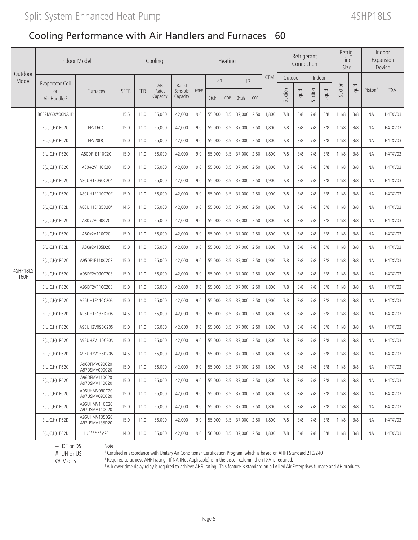# Cooling Performance with Air Handlers and Furnaces 60

|                  |                                | Indoor Model                   | Cooling     |      |                                |                      | Heating     |             |     |             |      |            | Refrigerant<br>Connection |        |         |        | Refrig.<br>Line<br>Size |        | Indoor<br>Expansion<br>Device |            |  |
|------------------|--------------------------------|--------------------------------|-------------|------|--------------------------------|----------------------|-------------|-------------|-----|-------------|------|------------|---------------------------|--------|---------|--------|-------------------------|--------|-------------------------------|------------|--|
| Outdoor<br>Model | Evaporator Coil                |                                |             |      | ARI                            | Rated                |             | 47          |     | 17          |      | <b>CFM</b> | Outdoor                   |        | Indoor  |        |                         |        |                               |            |  |
|                  | or<br>Air Handler <sup>2</sup> | <b>Furnaces</b>                | <b>SEER</b> | EER  | Rated<br>Capacity <sup>1</sup> | Sensible<br>Capacity | <b>HSPF</b> | <b>Btuh</b> | COP | <b>Btuh</b> | COP  |            | Suction                   | Liquid | Suction | Liquid | Suction                 | Liquid | Piston <sup>2</sup>           | <b>TXV</b> |  |
|                  | BCS2M60@00NA1P                 |                                | 15.5        | 11.0 | 56,000                         | 42,000               | 9.0         | 55,000      | 3.5 | 37,000      | 2.50 | 1,800      | 7/8                       | 3/8    | 7/8     | 3/8    | 11/8                    | 3/8    | <b>NA</b>                     | H4TXV03    |  |
|                  | E(U, C, H) 1P62C               | EFV16CC                        | 15.0        | 11.0 | 56,000                         | 42,000               | 9.0         | 55,000      | 3.5 | 37,000      | 2.50 | 1,800      | 7/8                       | 3/8    | 7/8     | 3/8    | 11/8                    | 3/8    | ΝA                            | H4TXV03    |  |
|                  | E(U, C, H) 1P62D               | EFV20DC                        | 15.0        | 11.0 | 56,000                         | 42,000               | 9.0         | 55,000      | 3.5 | 37,000      | 2.50 | 1,800      | 7/8                       | 3/8    | 7/8     | 3/8    | 11/8                    | 3/8    | <b>NA</b>                     | H4TXV03    |  |
|                  | E(U, C, H) 1P62C               | A80DF1E110C20                  | 15.0        | 11.0 | 56,000                         | 42,000               | 9.0         | 55,000      | 3.5 | 37,000      | 2.50 | 1,800      | 7/8                       | 3/8    | 7/8     | 3/8    | 11/8                    | 3/8    | <b>NA</b>                     | H4TXV03    |  |
|                  | E(U, C, H) 1P62C               | A80+2V110C20                   | 15.0        | 11.0 | 56,000                         | 42,000               | 9.0         | 55,000      | 3.5 | 37,000      | 2.50 | 1,800      | 7/8                       | 3/8    | 7/8     | 3/8    | 11/8                    | 3/8    | <b>NA</b>                     | H4TXV03    |  |
|                  | E(U, C, H) 1P62C               | A80UH1E090C20*                 | 15.0        | 11.0 | 56,000                         | 42,000               | 9.0         | 55,000      | 3.5 | 37,000      | 2.50 | 1,900      | 7/8                       | 3/8    | 7/8     | 3/8    | 11/8                    | 3/8    | ΝA                            | H4TXV03    |  |
|                  | E(U, C, H) 1P62C               | A80UH1E110C20*                 | 15.0        | 11.0 | 56,000                         | 42,000               | 9.0         | 55,000      | 3.5 | 37,000      | 2.50 | 1,900      | 7/8                       | 3/8    | 7/8     | 3/8    | 11/8                    | 3/8    | <b>NA</b>                     | H4TXV03    |  |
|                  | E(U,C,H)1P62D                  | A80UH1E135D20*                 | 14.5        | 11.0 | 56,000                         | 42,000               | 9.0         | 55,000      | 3.5 | 37,000      | 2.50 | 1,800      | 7/8                       | 3/8    | 7/8     | 3/8    | 11/8                    | 3/8    | <b>NA</b>                     | H4TXV03    |  |
|                  | E(U, C, H) 1P62C               | A80#2V090C20                   | 15.0        | 11.0 | 56,000                         | 42,000               | 9.0         | 55,000      | 3.5 | 37,000      | 2.50 | 1,800      | 7/8                       | 3/8    | 7/8     | 3/8    | 11/8                    | 3/8    | <b>NA</b>                     | H4TXV03    |  |
|                  | E(U, C, H) 1P62C               | A80#2V110C20                   | 15.0        | 11.0 | 56,000                         | 42,000               | 9.0         | 55,000      | 3.5 | 37,000      | 2.50 | 1,800      | 7/8                       | 3/8    | 7/8     | 3/8    | 11/8                    | 3/8    | ΝA                            | H4TXV03    |  |
|                  | E(U,C,H)1P62D                  | A80#2V135D20                   | 15.0        | 11.0 | 56,000                         | 42,000               | 9.0         | 55,000      | 3.5 | 37,000      | 2.50 | 1,800      | 7/8                       | 3/8    | 7/8     | 3/8    | 11/8                    | 3/8    | <b>NA</b>                     | H4TXV03    |  |
|                  | E(U, C, H) 1P62C               | A95DF1E110C20S                 | 15.0        | 11.0 | 56,000                         | 42,000               | 9.0         | 55,000      | 3.5 | 37,000      | 2.50 | 1,900      | 7/8                       | 3/8    | 7/8     | 3/8    | 11/8                    | 3/8    | ΝA                            | H4TXV03    |  |
| 4SHP18LS<br>160P | E(U, C, H) 1P62C               | A95DF2V090C20S                 | 15.0        | 11.0 | 56,000                         | 42,000               | 9.0         | 55,000      | 3.5 | 37,000      | 2.50 | 1,800      | 7/8                       | 3/8    | 7/8     | 3/8    | 11/8                    | 3/8    | <b>NA</b>                     | H4TXV03    |  |
|                  | E(U, C, H) 1P62C               | A95DF2V110C20S                 | 15.0        | 11.0 | 56,000                         | 42,000               | 9.0         | 55,000      | 3.5 | 37,000      | 2.50 | 1,800      | 7/8                       | 3/8    | 7/8     | 3/8    | 11/8                    | 3/8    | ΝA                            | H4TXV03    |  |
|                  | E(U, C, H) 1P62C               | A95UH1E110C20S                 | 15.0        | 11.0 | 56,000                         | 42,000               | 9.0         | 55,000      | 3.5 | 37,000      | 2.50 | 1,900      | 7/8                       | 3/8    | 7/8     | 3/8    | 11/8                    | 3/8    | <b>NA</b>                     | H4TXV03    |  |
|                  | E(U, C, H) 1P62D               | A95UH1E135D20S                 | 14.5        | 11.0 | 56,000                         | 42,000               | 9.0         | 55,000      | 3.5 | 37,000      | 2.50 | 1,800      | 7/8                       | 3/8    | 7/8     | 3/8    | 11/8                    | 3/8    | <b>NA</b>                     | H4TXV03    |  |
|                  | $E(U, C, H)$ 1P62C             | A95UH2V090C20S                 | 15.0        | 11.0 | 56,000                         | 42,000               | 9.0         | 55,000      | 3.5 | 37,000      | 2.50 | 1,800      | 7/8                       | 3/8    | 7/8     | 3/8    | 11/8                    | 3/8    | <b>NA</b>                     | H4TXV03    |  |
|                  | E(U, C, H) 1P62C               | A95UH2V110C20S                 | 15.0        | 11.0 | 56,000                         | 42,000               | 9.0         | 55,000      | 3.5 | 37,000      | 2.50 | 1,800      | 7/8                       | 3/8    | 7/8     | 3/8    | 11/8                    | 3/8    | ΝA                            | H4TXV03    |  |
|                  | E(U,C,H)1P62D                  | A95UH2V135D20S                 | 14.5        | 11.0 | 56,000                         | 42,000               | 9.0         | 55,000      | 3.5 | 37,000      | 2.50 | 1,800      | 7/8                       | 3/8    | 7/8     | 3/8    | 11/8                    | 3/8    | <b>NA</b>                     | H4TXV03    |  |
|                  | E(U, C, H) 1P62C               | A96DFMV090C20<br>A97DSMV090C20 | 15.0        | 11.0 | 56,000                         | 42,000               | 9.0         | 55,000      | 3.5 | 37,000      | 2.50 | 1,800      | 7/8                       | 3/8    | 7/8     | 3/8    | 11/8                    | 3/8    | ΝA                            | H4TXV03    |  |
|                  | E(U, C, H) 1P62C               | A96DFMV110C20<br>A97DSMV110C20 | 15.0        | 11.0 | 56,000                         | 42,000               | 9.0         | 55,000      | 3.5 | 37,000      | 2.50 | 1,800      | 7/8                       | 3/8    | 7/8     | 3/8    | 11/8                    | 3/8    | NА                            | H4TXV03    |  |
|                  | E(U, C, H) 1P62C               | A96UHMV090C20<br>A97USMV090C20 | 15.0        | 11.0 | 56,000                         | 42,000               | 9.0         | 55,000      | 3.5 | 37,000      | 2.50 | 1,800      | 7/8                       | 3/8    | 7/8     | 3/8    | 11/8                    | 3/8    | ΝA                            | H4TXV03    |  |
|                  | E(U, C, H) 1P62C               | A96UHMV110C20<br>A97USMV110C20 | 15.0        | 11.0 | 56,000                         | 42,000               | 9.0         | 55,000      | 3.5 | 37,000      | 2.50 | 1,800      | 7/8                       | 3/8    | 7/8     | 3/8    | 11/8                    | 3/8    | ΝA                            | H4TXV03    |  |
|                  | E(U,C,H)1P62D                  | A96UHMV135D20<br>A97USMV135D20 | 15.0        | 11.0 | 56,000                         | 42,000               | 9.0         | 55,000      | 3.5 | 37,000      | 2.50 | 1,800      | 7/8                       | 3/8    | 7/8     | 3/8    | 11/8                    | 3/8    | ΝA                            | H4TXV03    |  |
|                  | E(U,C,H)1P62D                  | LUF*****V20                    | 14.0        | 11.0 | 56,000                         | 42,000               | 9.0         | 56,000      | 3.5 | 37,000      | 2.50 | 1,800      | 7/8                       | 3/8    | 7/8     | 3/8    | 11/8                    | 3/8    | ΝA                            | H4TXV03    |  |

+ DF or DS

Note:

# UH or US @ V or S

1996.<br>1 Certified in accordance with Unitary Air Conditioner Certification Program, which is based on AHRI Standard 210/240<br>2 Required to achieve AHRI rating 15 NA (Not Applicable) is in the piston column, then TXV is requ

<sup>2</sup> Required to achieve AHRI rating. If NA (Not Applicable) is in the piston column, then TXV is required.

<sup>3</sup> A blower time delay relay is required to achieve AHRI rating. This feature is standard on all Allied Air Enterprises furnace and AH products.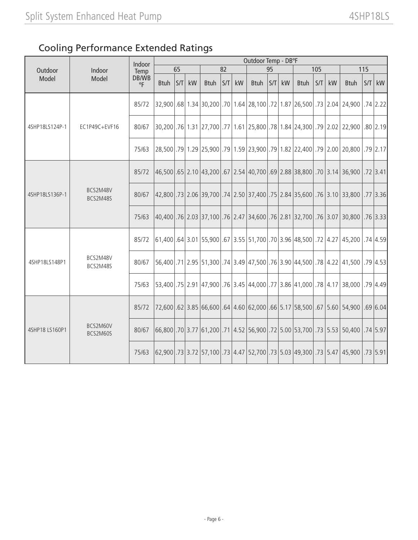# Cooling Performance Extended Ratings

|                |                      | Indoor      |             |     |    |             |     |    | Outdoor Temp - DB°F |     |    |             |     |    |                                                                                                             |     |    |
|----------------|----------------------|-------------|-------------|-----|----|-------------|-----|----|---------------------|-----|----|-------------|-----|----|-------------------------------------------------------------------------------------------------------------|-----|----|
| Outdoor        | Indoor               | Temp        |             | 65  |    |             | 82  |    |                     | 95  |    | 105         |     |    |                                                                                                             | 115 |    |
| Model          | Model                | DB/WB<br>°F | <b>Btuh</b> | S/T | kW | <b>Btuh</b> | S/T | kW | <b>Btuh</b>         | S/T | kW | <b>Btuh</b> | S/T | kW | <b>Btuh</b>                                                                                                 | S/T | kW |
|                |                      | 85/72       |             |     |    |             |     |    |                     |     |    |             |     |    | 32,900   .68   1.34   30,200   .70   1.64   28,100   .72   1.87   26,500   .73   2.04   24,900   .74   2.22 |     |    |
| 4SHP18LS124P-1 | EC1P49C+EVF16        | 80/67       |             |     |    |             |     |    |                     |     |    |             |     |    | 30,200 .76 1.31 27,700 .77 1.61 25,800 .78 1.84 24,300 .79 2.02 22,900 .80 2.19                             |     |    |
|                |                      | 75/63       |             |     |    |             |     |    |                     |     |    |             |     |    | 28,500 .79 1.29 25,900 .79 1.59 23,900 .79 1.82 22,400 .79 2.00 20,800 .79 2.17                             |     |    |
|                |                      | 85/72       |             |     |    |             |     |    |                     |     |    |             |     |    | 46,500 .65 2.10 43,200 .67 2.54 40,700 .69 2.88 38,800 .70 3.14 36,900 .72 3.41                             |     |    |
| 4SHP18LS136P-1 | BCS2M48V<br>BCS2M48S | 80/67       |             |     |    |             |     |    |                     |     |    |             |     |    | 42,800   .73   2.06   39,700   .74   2.50   37,400   .75   2.84   35,600   .76   3.10   33,800   .77   3.36 |     |    |
|                |                      | 75/63       |             |     |    |             |     |    |                     |     |    |             |     |    | 40,400   .76   2.03   37,100   .76   2.47   34,600   .76   2.81   32,700   .76   3.07   30,800   .76   3.33 |     |    |
|                |                      | 85/72       |             |     |    |             |     |    |                     |     |    |             |     |    | 61,400 .64 3.01 55,900 .67 3.55 51,700 .70 3.96 48,500 .72 4.27 45,200 .74 4.59                             |     |    |
| 4SHP18LS148P1  | BCS2M48V<br>BCS2M48S | 80/67       |             |     |    |             |     |    |                     |     |    |             |     |    | 56,400 .71 2.95 51,300 .74 3.49 47,500 .76 3.90 44,500 .78 4.22 41,500 .79 4.53                             |     |    |
|                |                      | 75/63       |             |     |    |             |     |    |                     |     |    |             |     |    | 53,400 .75 2.91 47,900 .76 3.45 44,000 .77 3.86 41,000 .78 4.17 38,000 .79 4.49                             |     |    |
|                |                      | 85/72       |             |     |    |             |     |    |                     |     |    |             |     |    | 72,600 .62 3.85 66,600 .64 4.60 62,000 .66 5.17 58,500 .67 5.60 54,900 .69 6.04                             |     |    |
| 4SHP18 LS160P1 | BCS2M60V<br>BCS2M60S | 80/67       |             |     |    |             |     |    |                     |     |    |             |     |    | 66,800   .70   3.77   61,200   .71   4.52   56,900   .72   5.00   53,700   .73   5.53   50,400   .74   5.97 |     |    |
|                |                      | 75/63       |             |     |    |             |     |    |                     |     |    |             |     |    | 62,900   .73   3.72   57,100   .73   4.47   52,700   .73   5.03   49,300   .73   5.47   45,900   .73   5.91 |     |    |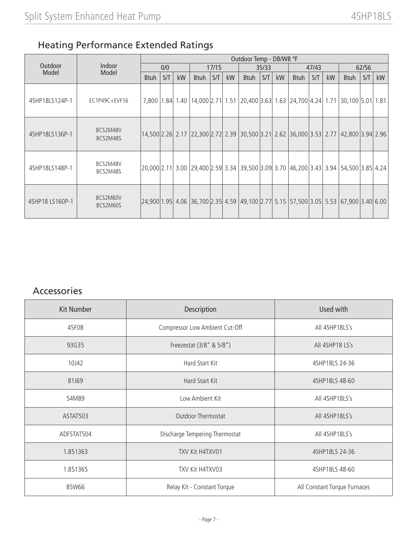# Heating Performance Extended Ratings

|                  |                      |             |     |    |             |       |    | Outdoor Temp - DB/WB °F                                                                                                                                                                                           |       |    |             |       |    |             |       |    |
|------------------|----------------------|-------------|-----|----|-------------|-------|----|-------------------------------------------------------------------------------------------------------------------------------------------------------------------------------------------------------------------|-------|----|-------------|-------|----|-------------|-------|----|
| Outdoor<br>Model | Indoor<br>Model      |             | 0/0 |    |             | 17/15 |    |                                                                                                                                                                                                                   | 35/33 |    |             | 47/43 |    |             | 62/56 |    |
|                  |                      | <b>Btuh</b> | S/T | kW | <b>Btuh</b> | S/T   | kW | <b>Btuh</b>                                                                                                                                                                                                       | S/T   | kW | <b>Btuh</b> | S/T   | kW | <b>Btuh</b> | S/T   | kW |
| 4SHP18LS124P-1   | EC1P49C+EVF16        |             |     |    |             |       |    | 7,800   1.84   1.40   14,000   2.71   1.51   20,400   3.63   1.63   24,700   4.24   1.71   30,100   5.01   1.81                                                                                                   |       |    |             |       |    |             |       |    |
| 4SHP18LS136P-1   | BCS2M48V<br>BCS2M48S |             |     |    |             |       |    | 14,500 2.26  2.17  22,300 2.72  2.39  30,500  3.21  2.62  36,000  3.53  2.77  42,800  3.94  2.96                                                                                                                  |       |    |             |       |    |             |       |    |
| 4SHP18LS148P-1   | BCS2M48V<br>BCS2M48S |             |     |    |             |       |    | 20,000 2.11  3.00  29,400 2.59  3.34  39,500  3.09  3.70  46,200  3.43  3.94   54,500   3.85   4.24                                                                                                               |       |    |             |       |    |             |       |    |
| 4SHP18 LS160P-1  | BCS2M60V<br>BCS2M60S |             |     |    |             |       |    | $\left  \frac{24,900}{1.95} \right $ 4.06 $\left  \frac{36,700}{2.35} \right $ 4.59 $\left  \frac{49,100}{2.77} \right $ 5.15 $\left  \frac{57,500}{3.05} \right $ 5.53 $\left  \frac{67,900}{3.40} \right $ 6.00 |       |    |             |       |    |             |       |    |

# Accessories

| <b>Kit Number</b> | <b>Description</b>             | Used with                    |
|-------------------|--------------------------------|------------------------------|
| 45F08             | Compressor Low Ambient Cut-Off | All 4SHP18LS's               |
| 93G35             | Freezestat (3/8" & 5/8")       | All 4SHP18 LS's              |
| 10J42             | Hard Start Kit                 | 4SHP18LS 24-36               |
| 81J69             | Hard Start Kit                 | 4SHP18LS 48-60               |
| 54M89             | Low Ambient Kit                | All 4SHP18LS's               |
| ASTAT503          | <b>Outdoor Thermostat</b>      | All 4SHP18LS's               |
| ADFSTAT504        | Discharge Tempering Thermostat | All 4SHP18LS's               |
| 1.851363          | TXV Kit H4TXV01                | 4SHP18LS 24-36               |
| 1.851365          | TXV Kit H4TXV03                | 4SHP18LS 48-60               |
| 85W66             | Relay Kit - Constant Torque    | All Constant Torque Furnaces |